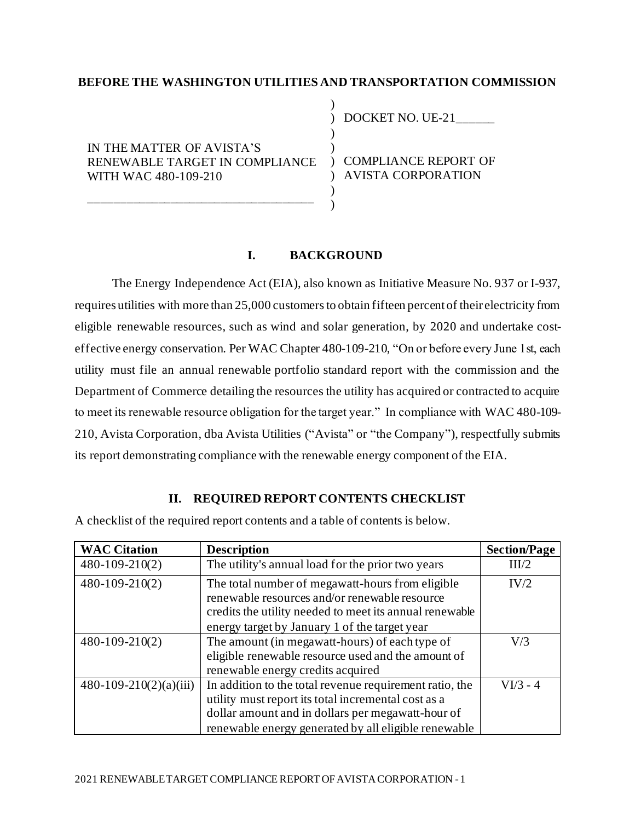## **BEFORE THE WASHINGTON UTILITIES AND TRANSPORTATION COMMISSION**

)

 $\lambda$ )

)  $\lambda$ 

IN THE MATTER OF AVISTA'S RENEWABLE TARGET IN COMPLIANCE ) COMPLIANCE REPORT OF WITH WAC 480-109-210

\_\_\_\_\_\_\_\_\_\_\_\_\_\_\_\_\_\_\_\_\_\_\_\_\_\_\_\_\_\_\_\_\_\_\_\_

) DOCKET NO. UE-21\_\_\_\_\_

) AVISTA CORPORATION

## **I. BACKGROUND**

The Energy Independence Act (EIA), also known as Initiative Measure No. 937 or I-937, requires utilities with more than 25,000 customers to obtain fifteen percent of their electricity from eligible renewable resources, such as wind and solar generation, by 2020 and undertake costeffective energy conservation. Per WAC Chapter 480-109-210, "On or before every June 1st, each utility must file an annual renewable portfolio standard report with the commission and the Department of Commerce detailing the resources the utility has acquired or contracted to acquire to meet its renewable resource obligation for the target year." In compliance with WAC 480-109- 210, Avista Corporation, dba Avista Utilities ("Avista" or "the Company"), respectfully submits its report demonstrating compliance with the renewable energy component of the EIA.

### **II. REQUIRED REPORT CONTENTS CHECKLIST**

A checklist of the required report contents and a table of contents is below.

| <b>WAC Citation</b>      | <b>Description</b>                                                                                                                                                                                                          | <b>Section/Page</b> |
|--------------------------|-----------------------------------------------------------------------------------------------------------------------------------------------------------------------------------------------------------------------------|---------------------|
| $480 - 109 - 210(2)$     | The utility's annual load for the prior two years                                                                                                                                                                           | III/2               |
| $480 - 109 - 210(2)$     | The total number of megawatt-hours from eligible<br>renewable resources and/or renewable resource<br>credits the utility needed to meet its annual renewable<br>energy target by January 1 of the target year               | IV/2                |
| $480 - 109 - 210(2)$     | The amount (in megawatt-hours) of each type of<br>eligible renewable resource used and the amount of<br>renewable energy credits acquired                                                                                   | V/3                 |
| $480-109-210(2)(a)(iii)$ | In addition to the total revenue requirement ratio, the<br>utility must report its total incremental cost as a<br>dollar amount and in dollars per megawatt-hour of<br>renewable energy generated by all eligible renewable | $VI/3 - 4$          |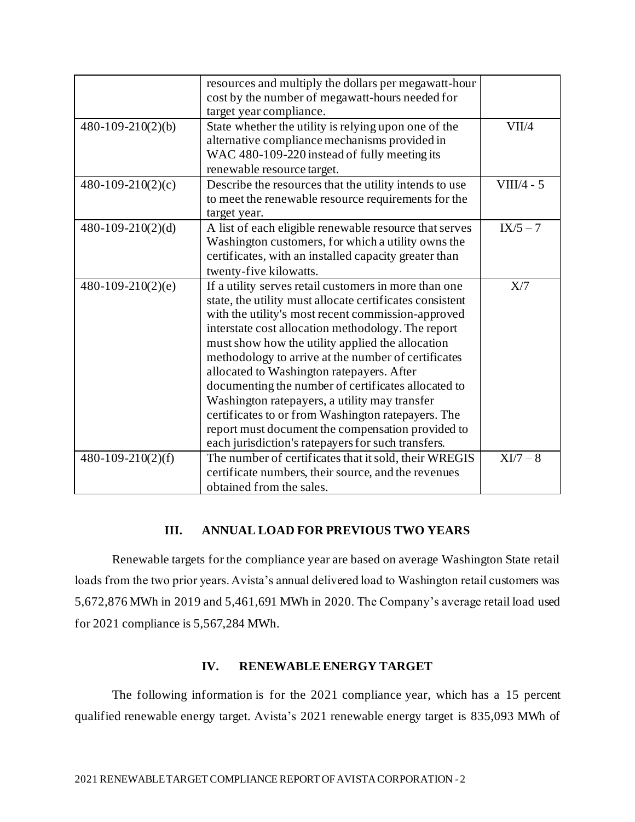|                     | resources and multiply the dollars per megawatt-hour<br>cost by the number of megawatt-hours needed for<br>target year compliance.                                                                                                                                                                                                                                                                                                                                                                                                                                                                                                                             |              |
|---------------------|----------------------------------------------------------------------------------------------------------------------------------------------------------------------------------------------------------------------------------------------------------------------------------------------------------------------------------------------------------------------------------------------------------------------------------------------------------------------------------------------------------------------------------------------------------------------------------------------------------------------------------------------------------------|--------------|
| $480-109-210(2)(b)$ | State whether the utility is relying upon one of the<br>alternative compliance mechanisms provided in<br>WAC 480-109-220 instead of fully meeting its<br>renewable resource target.                                                                                                                                                                                                                                                                                                                                                                                                                                                                            | VII/4        |
| $480-109-210(2)(c)$ | Describe the resources that the utility intends to use<br>to meet the renewable resource requirements for the<br>target year.                                                                                                                                                                                                                                                                                                                                                                                                                                                                                                                                  | $VIII/4 - 5$ |
| $480-109-210(2)(d)$ | A list of each eligible renewable resource that serves<br>Washington customers, for which a utility owns the<br>certificates, with an installed capacity greater than<br>twenty-five kilowatts.                                                                                                                                                                                                                                                                                                                                                                                                                                                                | $IX/5 - 7$   |
| $480-109-210(2)(e)$ | If a utility serves retail customers in more than one<br>state, the utility must allocate certificates consistent<br>with the utility's most recent commission-approved<br>interstate cost allocation methodology. The report<br>must show how the utility applied the allocation<br>methodology to arrive at the number of certificates<br>allocated to Washington ratepayers. After<br>documenting the number of certificates allocated to<br>Washington ratepayers, a utility may transfer<br>certificates to or from Washington ratepayers. The<br>report must document the compensation provided to<br>each jurisdiction's ratepayers for such transfers. | X/7          |
| $480-109-210(2)(f)$ | The number of certificates that it sold, their WREGIS<br>certificate numbers, their source, and the revenues<br>obtained from the sales.                                                                                                                                                                                                                                                                                                                                                                                                                                                                                                                       | $XI/7-8$     |

# **III. ANNUAL LOAD FOR PREVIOUS TWO YEARS**

Renewable targets for the compliance year are based on average Washington State retail loads from the two prior years. Avista's annual delivered load to Washington retail customers was 5,672,876 MWh in 2019 and 5,461,691 MWh in 2020. The Company's average retail load used for 2021 compliance is 5,567,284 MWh.

## **IV. RENEWABLE ENERGY TARGET**

The following information is for the 2021 compliance year, which has a 15 percent qualified renewable energy target. Avista's 2021 renewable energy target is 835,093 MWh of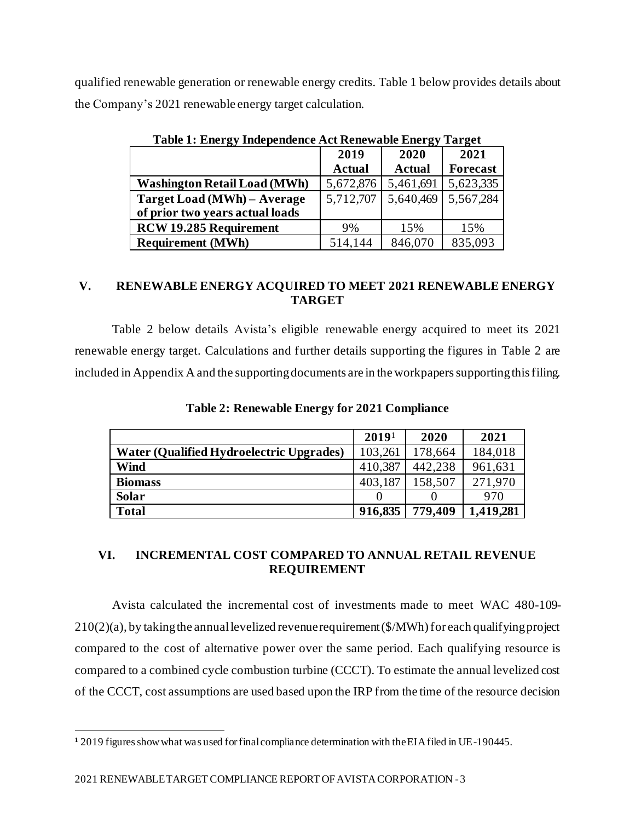qualified renewable generation or renewable energy credits. Table 1 below provides details about the Company's 2021 renewable energy target calculation.

| Table 1. Elici gy Hige pendence Act ixelic wable Elici gy<br>1 ai 20t |               |               |                 |
|-----------------------------------------------------------------------|---------------|---------------|-----------------|
|                                                                       | 2019          | 2020          | 2021            |
|                                                                       | <b>Actual</b> | <b>Actual</b> | <b>Forecast</b> |
| <b>Washington Retail Load (MWh)</b>                                   | 5,672,876     | 5,461,691     | 5,623,335       |
| Target Load (MWh) - Average                                           | 5,712,707     | 5,640,469     | 5,567,284       |
| of prior two years actual loads                                       |               |               |                 |
| <b>RCW 19.285 Requirement</b>                                         | 9%            | 15%           | 15%             |
| <b>Requirement (MWh)</b>                                              | 514,144       | 846,070       | 835,093         |

**Table 1: Energy Independence Act Renewable Energy Target**

# **V. RENEWABLE ENERGY ACQUIRED TO MEET 2021 RENEWABLE ENERGY TARGET**

Table 2 below details Avista's eligible renewable energy acquired to meet its 2021 renewable energy target. Calculations and further details supporting the figures in Table 2 are included in Appendix A and the supporting documents are in the workpapers supporting this filing.

|                                          | 2019 <sup>1</sup> | 2020    | 2021      |
|------------------------------------------|-------------------|---------|-----------|
| Water (Qualified Hydroelectric Upgrades) | 103,261           | 178,664 | 184,018   |
| <b>Wind</b>                              | 410,387           | 442,238 | 961,631   |
| <b>Biomass</b>                           | 403,187           | 158,507 | 271.970   |
| <b>Solar</b>                             | $\mathbf{\Omega}$ |         | 970       |
| <b>Total</b>                             | 916,835           | 779,409 | 1,419,281 |

**Table 2: Renewable Energy for 2021 Compliance**

# **VI. INCREMENTAL COST COMPARED TO ANNUAL RETAIL REVENUE REQUIREMENT**

Avista calculated the incremental cost of investments made to meet WAC 480-109-  $210(2)(a)$ , by taking the annual levelized revenue requirement (\$/MWh) for each qualifying project compared to the cost of alternative power over the same period. Each qualifying resource is compared to a combined cycle combustion turbine (CCCT). To estimate the annual levelized cost of the CCCT, cost assumptions are used based upon the IRP from the time of the resource decision

**<sup>1</sup>** 2019 figures show what was used for final compliance determination with the EIA filed in UE-190445.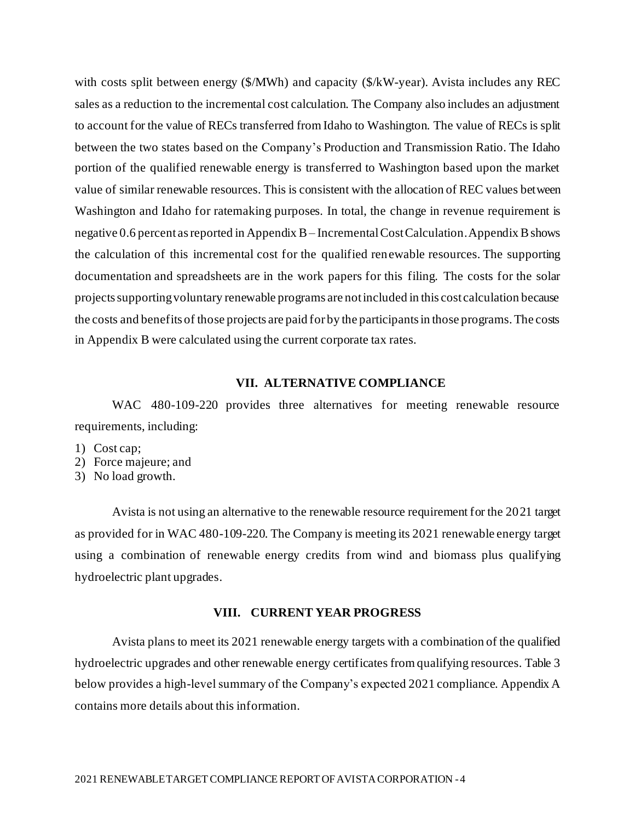with costs split between energy (\$/MWh) and capacity (\$/kW-year). Avista includes any REC sales as a reduction to the incremental cost calculation. The Company also includes an adjustment to account for the value of RECs transferred from Idaho to Washington. The value of RECs is split between the two states based on the Company's Production and Transmission Ratio. The Idaho portion of the qualified renewable energy is transferred to Washington based upon the market value of similar renewable resources. This is consistent with the allocation of REC values between Washington and Idaho for ratemaking purposes. In total, the change in revenue requirement is negative 0.6 percent as reported in Appendix B – Incremental Cost Calculation. Appendix B shows the calculation of this incremental cost for the qualified renewable resources. The supporting documentation and spreadsheets are in the work papers for this filing. The costs for the solar projects supporting voluntary renewable programs are not included in this cost calculation because the costs and benefits of those projects are paid for by the participants in those programs. The costs in Appendix B were calculated using the current corporate tax rates.

#### **VII. ALTERNATIVE COMPLIANCE**

WAC 480-109-220 provides three alternatives for meeting renewable resource requirements, including:

- 1) Cost cap;
- 2) Force majeure; and
- 3) No load growth.

Avista is not using an alternative to the renewable resource requirement for the 2021 target as provided for in WAC 480-109-220. The Company is meeting its 2021 renewable energy target using a combination of renewable energy credits from wind and biomass plus qualifying hydroelectric plant upgrades.

# **VIII. CURRENT YEAR PROGRESS**

Avista plans to meet its 2021 renewable energy targets with a combination of the qualified hydroelectric upgrades and other renewable energy certificates from qualifying resources. Table 3 below provides a high-level summary of the Company's expected 2021 compliance. Appendix A contains more details about this information.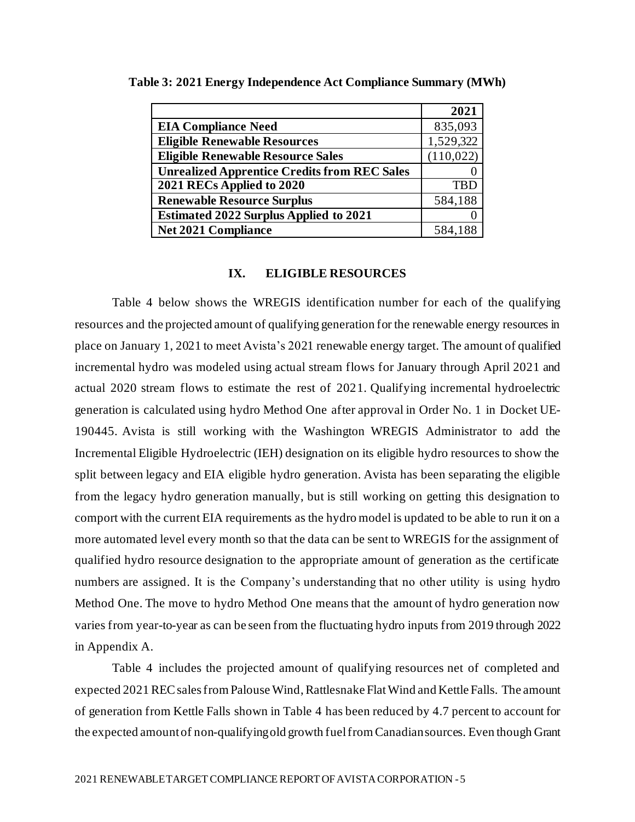|                                                     | 2021       |
|-----------------------------------------------------|------------|
| <b>EIA Compliance Need</b>                          | 835,093    |
| <b>Eligible Renewable Resources</b>                 | 1,529,322  |
| <b>Eligible Renewable Resource Sales</b>            | (110, 022) |
| <b>Unrealized Apprentice Credits from REC Sales</b> |            |
| 2021 RECs Applied to 2020                           | <b>TBD</b> |
| <b>Renewable Resource Surplus</b>                   | 584,188    |
| <b>Estimated 2022 Surplus Applied to 2021</b>       |            |
| <b>Net 2021 Compliance</b>                          |            |

**Table 3: 2021 Energy Independence Act Compliance Summary (MWh)**

## **IX. ELIGIBLE RESOURCES**

Table 4 below shows the WREGIS identification number for each of the qualifying resources and the projected amount of qualifying generation for the renewable energy resources in place on January 1, 2021 to meet Avista's 2021 renewable energy target. The amount of qualified incremental hydro was modeled using actual stream flows for January through April 2021 and actual 2020 stream flows to estimate the rest of 2021. Qualifying incremental hydroelectric generation is calculated using hydro Method One after approval in Order No. 1 in Docket UE-190445. Avista is still working with the Washington WREGIS Administrator to add the Incremental Eligible Hydroelectric (IEH) designation on its eligible hydro resources to show the split between legacy and EIA eligible hydro generation. Avista has been separating the eligible from the legacy hydro generation manually, but is still working on getting this designation to comport with the current EIA requirements as the hydro model is updated to be able to run it on a more automated level every month so that the data can be sent to WREGIS for the assignment of qualified hydro resource designation to the appropriate amount of generation as the certificate numbers are assigned. It is the Company's understanding that no other utility is using hydro Method One. The move to hydro Method One means that the amount of hydro generation now varies from year-to-year as can be seen from the fluctuating hydro inputs from 2019 through 2022 in Appendix A.

Table 4 includes the projected amount of qualifying resources net of completed and expected 2021 REC sales from Palouse Wind, Rattlesnake FlatWind and Kettle Falls. The amount of generation from Kettle Falls shown in Table 4 has been reduced by 4.7 percent to account for the expected amount of non-qualifying old growth fuel from Canadian sources. Even though Grant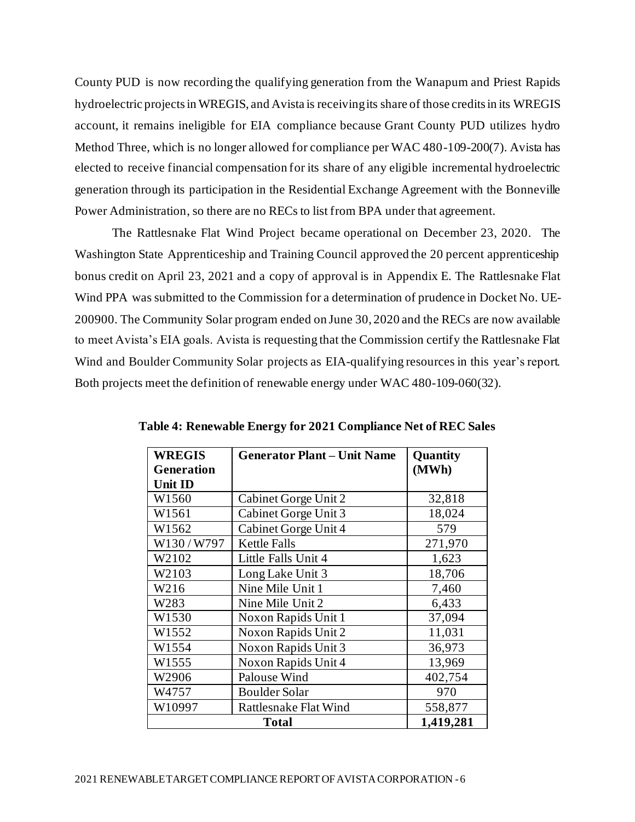County PUD is now recording the qualifying generation from the Wanapum and Priest Rapids hydroelectric projectsin WREGIS, and Avista is receivingits share of those credits in its WREGIS account, it remains ineligible for EIA compliance because Grant County PUD utilizes hydro Method Three, which is no longer allowed for compliance per WAC 480-109-200(7). Avista has elected to receive financial compensation for its share of any eligible incremental hydroelectric generation through its participation in the Residential Exchange Agreement with the Bonneville Power Administration, so there are no RECs to list from BPA under that agreement.

The Rattlesnake Flat Wind Project became operational on December 23, 2020. The Washington State Apprenticeship and Training Council approved the 20 percent apprenticeship bonus credit on April 23, 2021 and a copy of approval is in Appendix E. The Rattlesnake Flat Wind PPA was submitted to the Commission for a determination of prudence in Docket No. UE-200900. The Community Solar program ended on June 30, 2020 and the RECs are now available to meet Avista's EIA goals. Avista is requesting that the Commission certify the Rattlesnake Flat Wind and Boulder Community Solar projects as EIA-qualifying resources in this year's report. Both projects meet the definition of renewable energy under WAC 480-109-060(32).

| <b>WREGIS</b><br><b>Generator Plant - Unit Name</b> |                              | Quantity  |  |
|-----------------------------------------------------|------------------------------|-----------|--|
| <b>Generation</b>                                   |                              | (MWh)     |  |
| <b>Unit ID</b>                                      |                              |           |  |
| W1560                                               | Cabinet Gorge Unit 2         | 32,818    |  |
| W1561                                               | Cabinet Gorge Unit 3         | 18,024    |  |
| W1562                                               | Cabinet Gorge Unit 4         | 579       |  |
| W130/W797                                           | <b>Kettle Falls</b>          | 271,970   |  |
| W2102                                               | Little Falls Unit 4          | 1,623     |  |
| W2103                                               | Long Lake Unit 3             | 18,706    |  |
| W216                                                | Nine Mile Unit 1             | 7,460     |  |
| W283                                                | Nine Mile Unit 2             | 6,433     |  |
| W1530                                               | Noxon Rapids Unit 1          | 37,094    |  |
| W1552                                               | Noxon Rapids Unit 2          | 11,031    |  |
| W1554                                               | Noxon Rapids Unit 3          | 36,973    |  |
| W1555                                               | Noxon Rapids Unit 4          | 13,969    |  |
| W2906                                               | Palouse Wind                 | 402,754   |  |
| W4757                                               | <b>Boulder Solar</b>         | 970       |  |
| W10997                                              | <b>Rattlesnake Flat Wind</b> | 558,877   |  |
|                                                     | <b>Total</b>                 | 1,419,281 |  |

**Table 4: Renewable Energy for 2021 Compliance Net of REC Sales**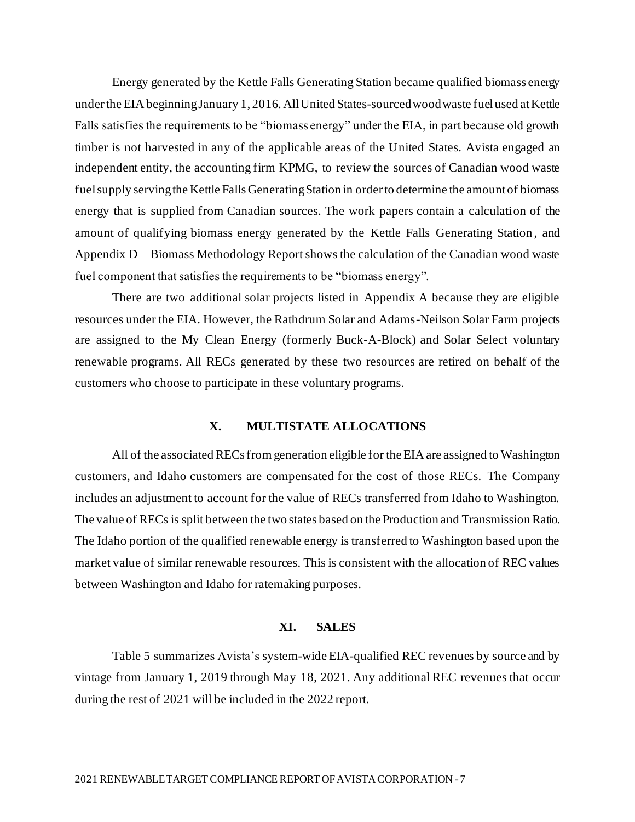Energy generated by the Kettle Falls Generating Station became qualified biomass energy under the EIA beginning January 1, 2016. All United States-sourced wood waste fuel used at Kettle Falls satisfies the requirements to be "biomass energy" under the EIA, in part because old growth timber is not harvested in any of the applicable areas of the United States. Avista engaged an independent entity, the accounting firm KPMG, to review the sources of Canadian wood waste fuel supply serving the Kettle Falls Generating Station in order to determine the amount of biomass energy that is supplied from Canadian sources. The work papers contain a calculation of the amount of qualifying biomass energy generated by the Kettle Falls Generating Station , and Appendix D – Biomass Methodology Report shows the calculation of the Canadian wood waste fuel component that satisfies the requirements to be "biomass energy".

There are two additional solar projects listed in Appendix A because they are eligible resources under the EIA. However, the Rathdrum Solar and Adams-Neilson Solar Farm projects are assigned to the My Clean Energy (formerly Buck-A-Block) and Solar Select voluntary renewable programs. All RECs generated by these two resources are retired on behalf of the customers who choose to participate in these voluntary programs.

### **X. MULTISTATE ALLOCATIONS**

All of the associated RECs from generation eligible for the EIA are assigned to Washington customers, and Idaho customers are compensated for the cost of those RECs. The Company includes an adjustment to account for the value of RECs transferred from Idaho to Washington. The value of RECs is split between the two states based on the Production and Transmission Ratio. The Idaho portion of the qualified renewable energy is transferred to Washington based upon the market value of similar renewable resources. This is consistent with the allocation of REC values between Washington and Idaho for ratemaking purposes.

#### **XI. SALES**

Table 5 summarizes Avista's system-wide EIA-qualified REC revenues by source and by vintage from January 1, 2019 through May 18, 2021. Any additional REC revenues that occur during the rest of 2021 will be included in the 2022 report.